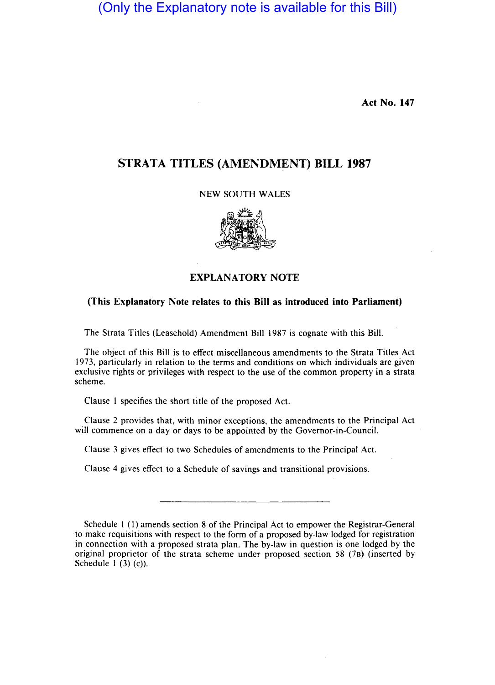(Only the Explanatory note is available for this Bill)

Act No. 147

## STRATA TITLES (AMENDMENT) **BILL 1987**

NEW SOUTH WALES



## EXPLANATORY NOTE

## (This Explanatory Note relates to this Bill as introduced into Parliament)

The Strata Titles (Leasehold) Amendment Bill 1987 is cognate with this Bill.

The object of this Bill is to effect miscellaneous amendments to the Strata Titles Act 1973, particularly in relation to the terms and conditions on which individuals are given exclusive rights or privileges with respect to the use of the common property in a strata scheme.

Clause I specifies the short title of the proposed Act.

Clause 2 provides that, with minor exceptions, the amendments to the Principal Act will commence on a day or days to be appointed by the Governor-in-Council.

Clause 3 gives effect to two Schedules of amendments to the Principal Act.

Clause 4 gives effect to a Schedule of savings and transitional provisions.

Schedule I (1) amends section 8 of the Principal Act to empower the Registrar-General to make requisitions with respect to the form of a proposed by-law lodged for registration in connection with a proposed strata plan. The by-law in question is one lodged by the original proprietor of the strata scheme under proposed section 58 (7B) (inserted by Schedule 1 $(3)(c)$ .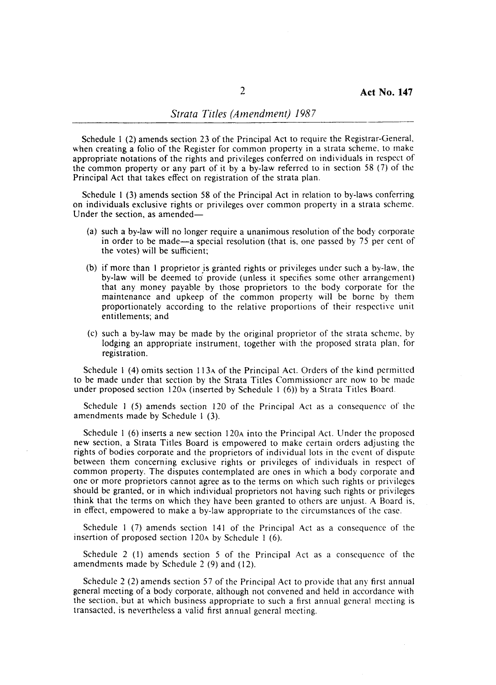Schedule I (2) amends section 23 of the Principal Act to require the Registrar-General, when creating a folio of the Register for common property in a strata scheme, to make appropriate notations of the rights and privileges conferred on individuals in respect of the common property or any part of it by a by-law referred to in section 58 (7) of the Principal Act that takes effect on registration of the strata plan.

Schedule I (3) amends section 58 of the Principal Act in relation to by-laws conferring on individuals exclusive rights or privileges over common property in a strata scheme. Under the section, as amended-

- (a) such a by-law will no longer require a unanimous resolution of the body corporate in order to be made—a special resolution (that is, one passed by 75 per cent of the votes) will be sufficient;
- (b) if more than I proprietor is granted rights or privileges under such a by-law, the by-law will be deemed to' provide (unless it specifies some other arrangement) that any money payable by those proprietors to the body corporate for the maintenance and upkeep of the common property will be borne by them proportionately according to the relative proportions of their respective unit entitlements; and
- (c) such a by-law may be made by the original proprietor of the strata scheme, by lodging an appropriate instrument, together with the proposed strata plan, for registration.

Schedule I (4) omits section 113A of the Principal Act. Orders of the kind permitted to be made under that section by the Strata Titles Commissioner arc now to be made under proposed section 120A (inserted by Schedule 1 (6)) by a Strata Titles Board.

Schedule I (5) amends section 120 of the Principal Act as a consequence of the amendments made by Schedule I (3).

Schedule 1 (6) inserts a new section 120<sub>A</sub> into the Principal Act. Under the proposed new section, a Strata Titles Board is empowered to make certain orders adjusting the rights of bodies corporate and the proprietors of individual lots in the event of dispute between them concerning exclusive rights or privileges of individuals in respect of common property. The disputes contemplated are ones in which a body corporate and one or more proprietors cannot agree as to the terms on which such rights or privileges should be granted, or in which individual proprietors not having such rights or privileges think that the terms on which they have been granted to others are unjust. A Board is, in effect, empowered to make a by-law appropriate to the circumstances of the case.

Schedule I (7) amends section 141 of the Principal Act as a consequence of the insertion of proposed section 120A by Schedule 1 (6).

Schedule 2 (I) amends section 5 of the Principal Act as a consequence of the amendments made by Schedule 2 (9) and (12).

Schedule 2 (2) amends section 57 of the Principal Act to provide that any first annual general meeting of a body corporate, although not convened and held in accordance with the section, but at which business appropriate to such a first annual general meeting is transacted, is nevertheless a valid first annual general meeting.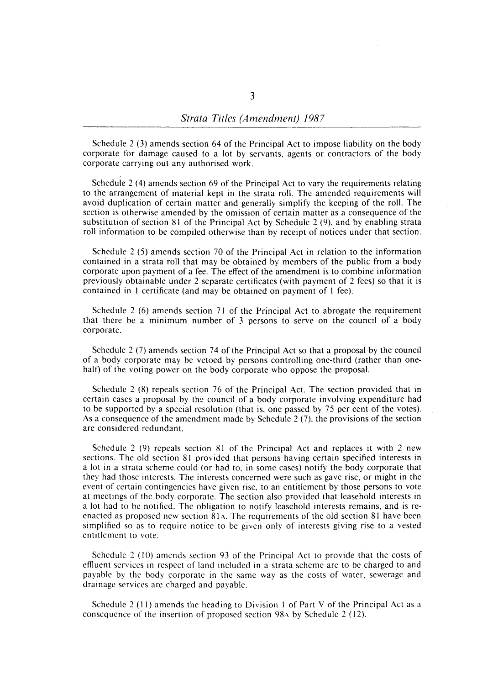Schedule 2 (3) amends section 64 of the Principal Act to impose liability on the body corporate for damage caused to a lot by servants, agents or contractors of the body corporate carrying out any authorised work.

Schedule 2 (4) amends section 69 of the Principal Act to vary the requirements relating to the arrangement of material kept in the strata roll. The amended requirements will avoid duplication of certain matter and generally simplify the keeping of the roll. The section is otherwise amended by the omission of certain matter as a consequence of the substitution of section 81 of the Principal Act by Schedule 2 (9), and by enabling strata roll information to be compiled otherwise than by receipt of notices under that section.

Schedule 2 (5) amends section 70 of the Principal Act in relation to the information contained in a strata roll that may be obtained by members of the public from a body corporate upon payment of a fee. The effect of the amendment is to combine information previously obtainable under 2 separate certificates (with payment of 2 fees) so that it is contained in I certificate (and may be obtained on payment of 1 fee).

Schedule 2 (6) amends section 71 of the Principal Act to abrogate the requirement that there be a minimum number of 3 persons to serve on the council of a body corporate.

Schedule 2 (7) amends section 74 of the Principal Act so that a proposal by the council of a body corporate may be vetoed by persons controlling one-third (rather than onehalf) of the voting power on the body corporate who oppose the proposal.

Schedule 2 (8) repeals section 76 of the Principal Act. The section provided that in certain cases a proposal by the council of a body corporate involving expenditure had to be supported by a special resolution (that is, one passed by 75 per cent of the votes). As a consequence of the amendment made by Schedule 2 (7), the provisions of the section are considered redundant.

Schedule 2 (9) repeals section 81 of the Principal Act and replaces it with 2 new sections. The old section 81 provided that persons having certain specified interests in a lot in a strata scheme could (or had to, in some cases) notify the body corporate that they had those interests. The interests concerned were such as gave rise, or might in the event of certain contingencies have given rise, to an entitlement by those persons to vote at meetings of the body corporate. The section also provided that leasehold interests in a lot had to be notified. The obligation to notify leasehold interests remains, and is reenacted as proposed new section 81<sub>A</sub>. The requirements of the old section 81 have been simplified so as to require notice to be given only of interests giving rise to a vested entitlement to vote.

Schedule 2 (10) amends section 93 of the Principal Act to provide that the costs of effluent services in respect of land included in a strata scheme are to be charged to and payable by the body corporate in the same way as the costs of water, sewerage and drainage services are charged and payable.

Schedule 2 (11) amends the heading to Division I of Part V of the Principal Act as a consequence of the insertion of proposed section  $98\text{A}$  by Schedule 2 (12).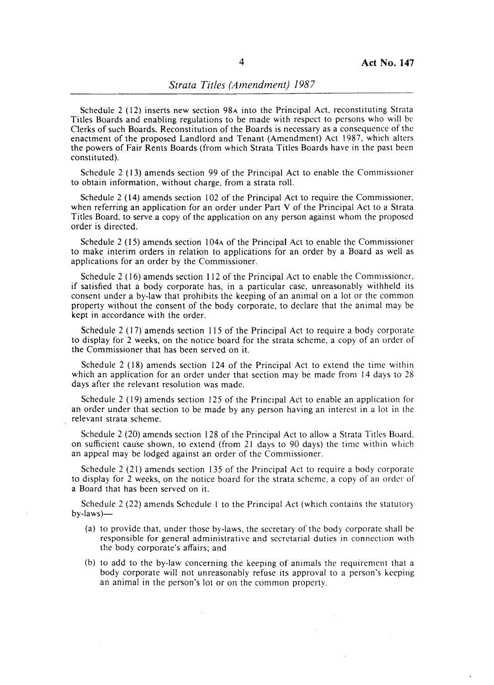Schedule 2 (12) inserts new section 98A into the Principal Act, reconstituting Strata Titles Boards and enabling regulations to be made with respect to persons who will be Clerks of such Boards. Reconstitution of the Boards is necessary as a consequence of the enactment of the proposed Landlord and Tenant (Amendment) Act 1987, which alters the powers of Fair Rents Boards (from which Strata Titles Boards have in the past been constituted).

Schedule 2 (13) amends section 99 of the Principal Act to enable the Commissioner to obtain information, without charge, from a strata roll.

Schedule 2 (14) amends section 102 of the Principal Act to require the Commissioner, when referring an application for an order under Part V of the Principal Act to a Strata Titles Board, to serve a copy of the application on any person against whom the proposed order is directed.

Schedule 2 (15) amends section 104A of the Principal Act to enable the Commissioner to make interim orders in relation to applications for an order by a Board as well as applications for an order by the Commissioner.

Schedule 2 ( 16) amends section 112 of the Principal Act to enable the Commissioner, if satisfied that a body corporate has, in a particular case, unreasonably withheld its consent under a by-law that prohibits the keeping of an animal on a lot or the common property without the consent of the body corporate, to declare that the animal may be kept in accordance with the order.

Schedule 2 (17) amends section 115 of the Principal Act to require a body corporate to display for 2 weeks, on the notice board for the strata scheme, a copy of an order of the Commissioner that has been served on it.

Schedule 2 (18) amends section 124 of the Principal Act to extend the time within which an application for an order under that section may be made from 14 days to 28 days after the relevant resolution was made.

Schedule 2 (19) amends section 125 of the Principal Act to enable an application for an order under that section to be made by any person having an interest in a lot in the relevant strata scheme.

Schedule 2 (20) amends section 128 of the Principal Act to allow a Strata Titles Board. on sufficient cause shown, to extend (from 21 days to 90 days) the time within which an appeal may be lodged against an order of the Commissioner.

Schedule 2 (21) amends section 135 of the Principal Act to require a body corporate to display for 2 weeks, on the notice board for the strata scheme, a copy of an order of a Board that has been served on it.

Schedule 2 (22) amends Schedule I to the Principal Act (which contains the statuiory  $by$ -laws) $-$ 

- (a) to provide that, under those by-laws, the secretary of the body corporate shall be responsible for general administrative and secretarial duties in connection with the body corporate's affairs; and
- (b) to add to the by-law concerning the keeping of animals the requirement that a body corporate will not unreasonably refuse its approval to a person's keeping an animal in the person's lot or on the common property.